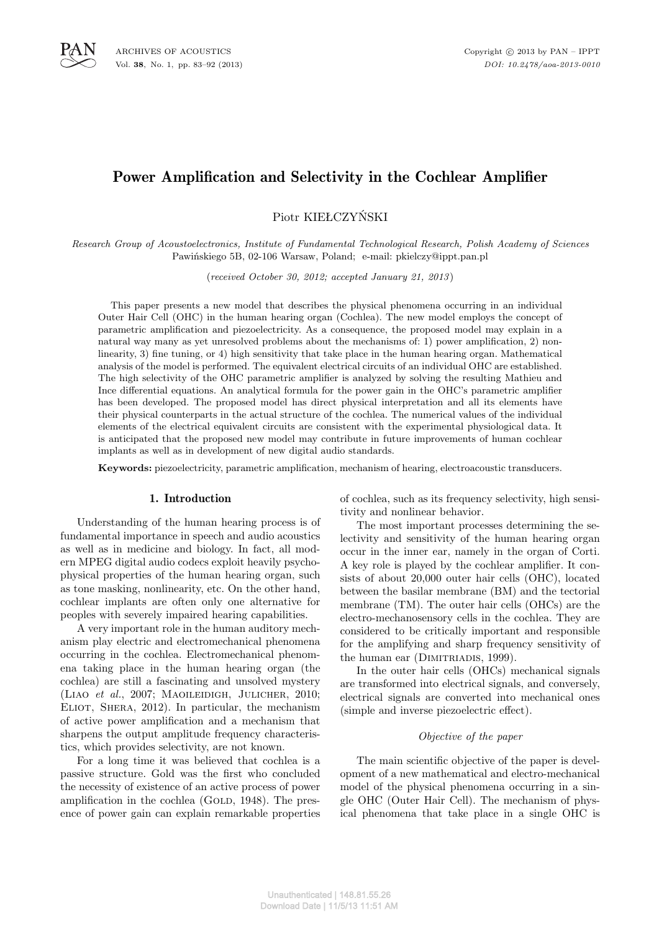# Power Amplification and Selectivity in the Cochlear Amplifier

Piotr KIEŁCZYŃSKI

*Research Group of Acoustoelectronics, Institute of Fundamental Technological Research, Polish Academy of Sciences* Pawińskiego 5B, 02-106 Warsaw, Poland; e-mail: pkielczy@ippt.pan.pl

(*received October 30, 2012; accepted January 21, 2013* )

This paper presents a new model that describes the physical phenomena occurring in an individual Outer Hair Cell (OHC) in the human hearing organ (Cochlea). The new model employs the concept of parametric amplification and piezoelectricity. As a consequence, the proposed model may explain in a natural way many as yet unresolved problems about the mechanisms of: 1) power amplification, 2) nonlinearity, 3) fine tuning, or 4) high sensitivity that take place in the human hearing organ. Mathematical analysis of the model is performed. The equivalent electrical circuits of an individual OHC are established. The high selectivity of the OHC parametric amplifier is analyzed by solving the resulting Mathieu and Ince differential equations. An analytical formula for the power gain in the OHC's parametric amplifier has been developed. The proposed model has direct physical interpretation and all its elements have their physical counterparts in the actual structure of the cochlea. The numerical values of the individual elements of the electrical equivalent circuits are consistent with the experimental physiological data. It is anticipated that the proposed new model may contribute in future improvements of human cochlear implants as well as in development of new digital audio standards.

**Keywords:** piezoelectricity, parametric amplification, mechanism of hearing, electroacoustic transducers.

### 1. Introduction

Understanding of the human hearing process is of fundamental importance in speech and audio acoustics as well as in medicine and biology. In fact, all modern MPEG digital audio codecs exploit heavily psychophysical properties of the human hearing organ, such as tone masking, nonlinearity, etc. On the other hand, cochlear implants are often only one alternative for peoples with severely impaired hearing capabilities.

A very important role in the human auditory mechanism play electric and electromechanical phenomena occurring in the cochlea. Electromechanical phenomena taking place in the human hearing organ (the cochlea) are still a fascinating and unsolved mystery (Liao *et al.*, 2007; Maoileidigh, Julicher, 2010; ELIOT, SHERA, 2012). In particular, the mechanism of active power amplification and a mechanism that sharpens the output amplitude frequency characteristics, which provides selectivity, are not known.

For a long time it was believed that cochlea is a passive structure. Gold was the first who concluded the necessity of existence of an active process of power amplification in the cochlea  $(GOLD, 1948)$ . The presence of power gain can explain remarkable properties of cochlea, such as its frequency selectivity, high sensitivity and nonlinear behavior.

The most important processes determining the selectivity and sensitivity of the human hearing organ occur in the inner ear, namely in the organ of Corti. A key role is played by the cochlear amplifier. It consists of about 20,000 outer hair cells (OHC), located between the basilar membrane (BM) and the tectorial membrane (TM). The outer hair cells (OHCs) are the electro-mechanosensory cells in the cochlea. They are considered to be critically important and responsible for the amplifying and sharp frequency sensitivity of the human ear (DIMITRIADIS, 1999).

In the outer hair cells (OHCs) mechanical signals are transformed into electrical signals, and conversely, electrical signals are converted into mechanical ones (simple and inverse piezoelectric effect).

### *Objective of the paper*

The main scientific objective of the paper is development of a new mathematical and electro-mechanical model of the physical phenomena occurring in a single OHC (Outer Hair Cell). The mechanism of physical phenomena that take place in a single OHC is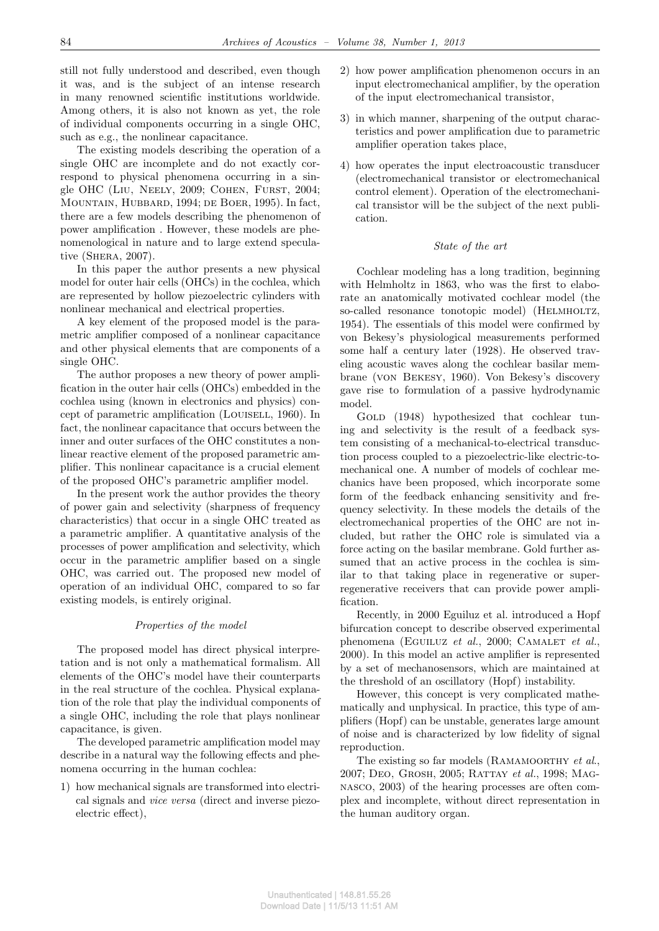still not fully understood and described, even though it was, and is the subject of an intense research in many renowned scientific institutions worldwide. Among others, it is also not known as yet, the role of individual components occurring in a single OHC, such as e.g., the nonlinear capacitance.

The existing models describing the operation of a single OHC are incomplete and do not exactly correspond to physical phenomena occurring in a single OHC (LIU, NEELY, 2009; COHEN, FURST, 2004; Mountain, Hubbard, 1994; de Boer, 1995). In fact, there are a few models describing the phenomenon of power amplification . However, these models are phenomenological in nature and to large extend speculative (Shera, 2007).

In this paper the author presents a new physical model for outer hair cells (OHCs) in the cochlea, which are represented by hollow piezoelectric cylinders with nonlinear mechanical and electrical properties.

A key element of the proposed model is the parametric amplifier composed of a nonlinear capacitance and other physical elements that are components of a single OHC.

The author proposes a new theory of power amplification in the outer hair cells (OHCs) embedded in the cochlea using (known in electronics and physics) concept of parametric amplification (Louisell, 1960). In fact, the nonlinear capacitance that occurs between the inner and outer surfaces of the OHC constitutes a nonlinear reactive element of the proposed parametric amplifier. This nonlinear capacitance is a crucial element of the proposed OHC's parametric amplifier model.

In the present work the author provides the theory of power gain and selectivity (sharpness of frequency characteristics) that occur in a single OHC treated as a parametric amplifier. A quantitative analysis of the processes of power amplification and selectivity, which occur in the parametric amplifier based on a single OHC, was carried out. The proposed new model of operation of an individual OHC, compared to so far existing models, is entirely original.

### *Properties of the model*

The proposed model has direct physical interpretation and is not only a mathematical formalism. All elements of the OHC's model have their counterparts in the real structure of the cochlea. Physical explanation of the role that play the individual components of a single OHC, including the role that plays nonlinear capacitance, is given.

The developed parametric amplification model may describe in a natural way the following effects and phenomena occurring in the human cochlea:

1) how mechanical signals are transformed into electrical signals and *vice versa* (direct and inverse piezoelectric effect),

- 2) how power amplification phenomenon occurs in an input electromechanical amplifier, by the operation of the input electromechanical transistor,
- 3) in which manner, sharpening of the output characteristics and power amplification due to parametric amplifier operation takes place,
- 4) how operates the input electroacoustic transducer (electromechanical transistor or electromechanical control element). Operation of the electromechanical transistor will be the subject of the next publication.

### *State of the art*

Cochlear modeling has a long tradition, beginning with Helmholtz in 1863, who was the first to elaborate an anatomically motivated cochlear model (the so-called resonance tonotopic model) (HELMHOLTZ, 1954). The essentials of this model were confirmed by von Bekesy's physiological measurements performed some half a century later (1928). He observed traveling acoustic waves along the cochlear basilar membrane (von Bekesy, 1960). Von Bekesy's discovery gave rise to formulation of a passive hydrodynamic model.

GOLD (1948) hypothesized that cochlear tuning and selectivity is the result of a feedback system consisting of a mechanical-to-electrical transduction process coupled to a piezoelectric-like electric-tomechanical one. A number of models of cochlear mechanics have been proposed, which incorporate some form of the feedback enhancing sensitivity and frequency selectivity. In these models the details of the electromechanical properties of the OHC are not included, but rather the OHC role is simulated via a force acting on the basilar membrane. Gold further assumed that an active process in the cochlea is similar to that taking place in regenerative or superregenerative receivers that can provide power amplification.

Recently, in 2000 Eguiluz et al. introduced a Hopf bifurcation concept to describe observed experimental phenomena (EGUILUZ *et al.*, 2000; CAMALET *et al.*, 2000). In this model an active amplifier is represented by a set of mechanosensors, which are maintained at the threshold of an oscillatory (Hopf) instability.

However, this concept is very complicated mathematically and unphysical. In practice, this type of amplifiers (Hopf) can be unstable, generates large amount of noise and is characterized by low fidelity of signal reproduction.

The existing so far models (Ramamoorthy *et al*., 2007; Deo, Grosh, 2005; Rattay *et al.*, 1998; Magnasco, 2003) of the hearing processes are often complex and incomplete, without direct representation in the human auditory organ.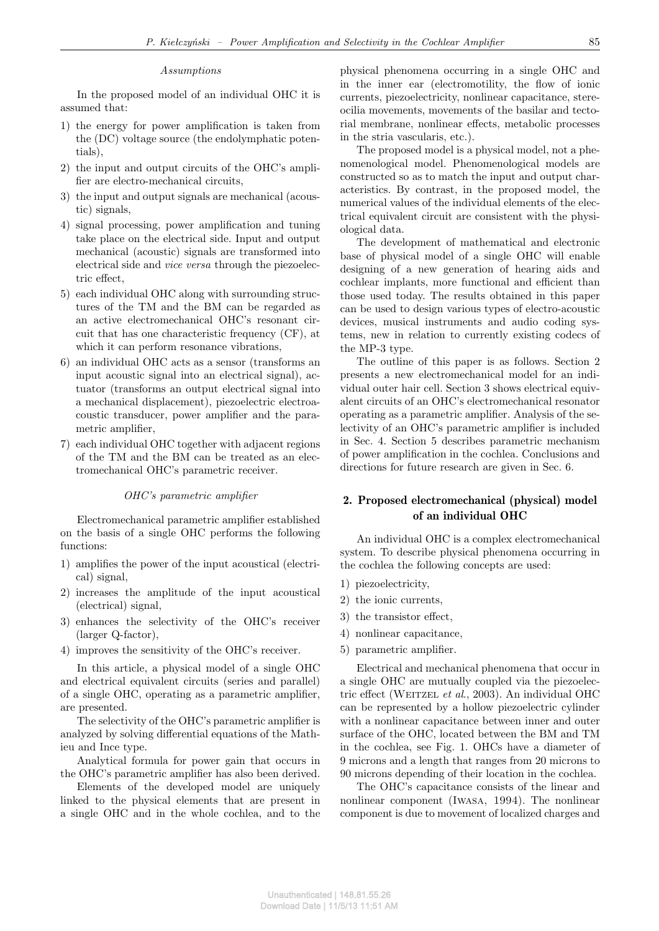### *Assumptions*

In the proposed model of an individual OHC it is assumed that:

- 1) the energy for power amplification is taken from the (DC) voltage source (the endolymphatic potentials),
- 2) the input and output circuits of the OHC's amplifier are electro-mechanical circuits,
- 3) the input and output signals are mechanical (acoustic) signals,
- 4) signal processing, power amplification and tuning take place on the electrical side. Input and output mechanical (acoustic) signals are transformed into electrical side and *vice versa* through the piezoelectric effect,
- 5) each individual OHC along with surrounding structures of the TM and the BM can be regarded as an active electromechanical OHC's resonant circuit that has one characteristic frequency (CF), at which it can perform resonance vibrations,
- 6) an individual OHC acts as a sensor (transforms an input acoustic signal into an electrical signal), actuator (transforms an output electrical signal into a mechanical displacement), piezoelectric electroacoustic transducer, power amplifier and the parametric amplifier,
- 7) each individual OHC together with adjacent regions of the TM and the BM can be treated as an electromechanical OHC's parametric receiver.

#### *OHC's parametric amplifier*

Electromechanical parametric amplifier established on the basis of a single OHC performs the following functions:

- 1) amplifies the power of the input acoustical (electrical) signal,
- 2) increases the amplitude of the input acoustical (electrical) signal,
- 3) enhances the selectivity of the OHC's receiver (larger Q-factor),
- 4) improves the sensitivity of the OHC's receiver.

In this article, a physical model of a single OHC and electrical equivalent circuits (series and parallel) of a single OHC, operating as a parametric amplifier, are presented.

The selectivity of the OHC's parametric amplifier is analyzed by solving differential equations of the Mathieu and Ince type.

Analytical formula for power gain that occurs in the OHC's parametric amplifier has also been derived.

Elements of the developed model are uniquely linked to the physical elements that are present in a single OHC and in the whole cochlea, and to the physical phenomena occurring in a single OHC and in the inner ear (electromotility, the flow of ionic currents, piezoelectricity, nonlinear capacitance, stereocilia movements, movements of the basilar and tectorial membrane, nonlinear effects, metabolic processes in the stria vascularis, etc.).

The proposed model is a physical model, not a phenomenological model. Phenomenological models are constructed so as to match the input and output characteristics. By contrast, in the proposed model, the numerical values of the individual elements of the electrical equivalent circuit are consistent with the physiological data.

The development of mathematical and electronic base of physical model of a single OHC will enable designing of a new generation of hearing aids and cochlear implants, more functional and efficient than those used today. The results obtained in this paper can be used to design various types of electro-acoustic devices, musical instruments and audio coding systems, new in relation to currently existing codecs of the MP-3 type.

The outline of this paper is as follows. Section 2 presents a new electromechanical model for an individual outer hair cell. Section 3 shows electrical equivalent circuits of an OHC's electromechanical resonator operating as a parametric amplifier. Analysis of the selectivity of an OHC's parametric amplifier is included in Sec. 4. Section 5 describes parametric mechanism of power amplification in the cochlea. Conclusions and directions for future research are given in Sec. 6.

## 2. Proposed electromechanical (physical) model of an individual OHC

An individual OHC is a complex electromechanical system. To describe physical phenomena occurring in the cochlea the following concepts are used:

- 1) piezoelectricity,
- 2) the ionic currents,
- 3) the transistor effect,
- 4) nonlinear capacitance,
- 5) parametric amplifier.

Electrical and mechanical phenomena that occur in a single OHC are mutually coupled via the piezoelectric effect (Weitzel *et al*., 2003). An individual OHC can be represented by a hollow piezoelectric cylinder with a nonlinear capacitance between inner and outer surface of the OHC, located between the BM and TM in the cochlea, see Fig. 1. OHCs have a diameter of 9 microns and a length that ranges from 20 microns to 90 microns depending of their location in the cochlea.

The OHC's capacitance consists of the linear and nonlinear component (Iwasa, 1994). The nonlinear component is due to movement of localized charges and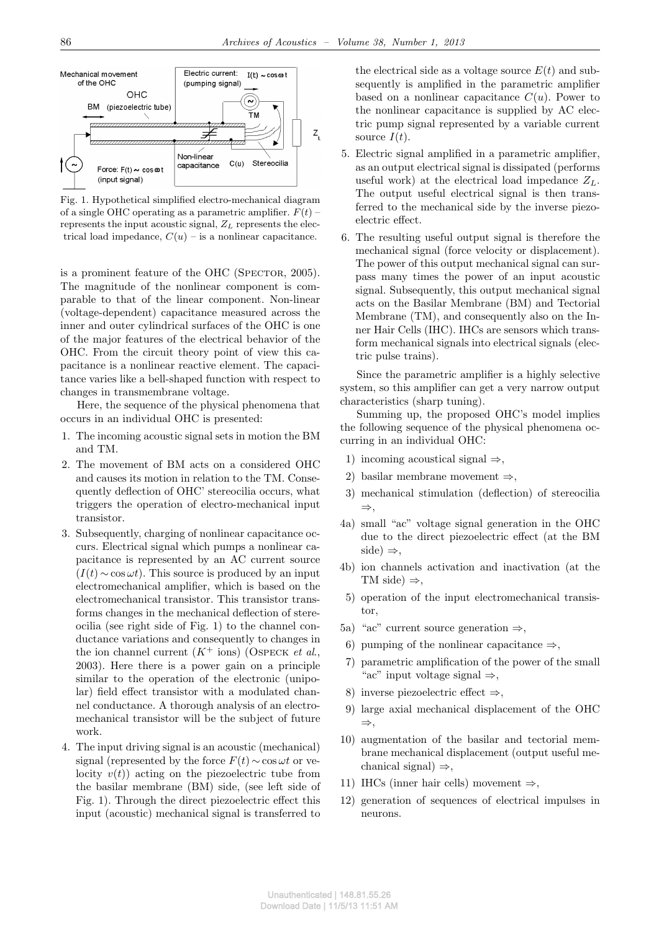

Fig. 1. Hypothetical simplified electro-mechanical diagram of a single OHC operating as a parametric amplifier.  $F(t)$  – represents the input acoustic signal, *Z<sup>L</sup>* represents the electrical load impedance,  $C(u)$  – is a nonlinear capacitance.

is a prominent feature of the OHC (SPECTOR, 2005). The magnitude of the nonlinear component is comparable to that of the linear component. Non-linear (voltage-dependent) capacitance measured across the inner and outer cylindrical surfaces of the OHC is one of the major features of the electrical behavior of the OHC. From the circuit theory point of view this capacitance is a nonlinear reactive element. The capacitance varies like a bell-shaped function with respect to changes in transmembrane voltage.

Here, the sequence of the physical phenomena that occurs in an individual OHC is presented:

- 1. The incoming acoustic signal sets in motion the BM and TM.
- 2. The movement of BM acts on a considered OHC and causes its motion in relation to the TM. Consequently deflection of OHC' stereocilia occurs, what triggers the operation of electro-mechanical input transistor.
- 3. Subsequently, charging of nonlinear capacitance occurs. Electrical signal which pumps a nonlinear capacitance is represented by an AC current source  $(I(t) \sim \cos \omega t)$ . This source is produced by an input electromechanical amplifier, which is based on the electromechanical transistor. This transistor transforms changes in the mechanical deflection of stereocilia (see right side of Fig. 1) to the channel conductance variations and consequently to changes in the ion channel current  $(K^+$  ions) (OSPECK *et al.*, 2003). Here there is a power gain on a principle similar to the operation of the electronic (unipolar) field effect transistor with a modulated channel conductance. A thorough analysis of an electromechanical transistor will be the subject of future work.
- 4. The input driving signal is an acoustic (mechanical) signal (represented by the force  $F(t) \sim \cos \omega t$  or velocity  $v(t)$  acting on the piezoelectric tube from the basilar membrane (BM) side, (see left side of Fig. 1). Through the direct piezoelectric effect this input (acoustic) mechanical signal is transferred to

the electrical side as a voltage source  $E(t)$  and subsequently is amplified in the parametric amplifier based on a nonlinear capacitance  $C(u)$ . Power to the nonlinear capacitance is supplied by AC electric pump signal represented by a variable current source  $I(t)$ .

- 5. Electric signal amplified in a parametric amplifier, as an output electrical signal is dissipated (performs useful work) at the electrical load impedance  $Z_L$ . The output useful electrical signal is then transferred to the mechanical side by the inverse piezoelectric effect.
- 6. The resulting useful output signal is therefore the mechanical signal (force velocity or displacement). The power of this output mechanical signal can surpass many times the power of an input acoustic signal. Subsequently, this output mechanical signal acts on the Basilar Membrane (BM) and Tectorial Membrane (TM), and consequently also on the Inner Hair Cells (IHC). IHCs are sensors which transform mechanical signals into electrical signals (electric pulse trains).

Since the parametric amplifier is a highly selective system, so this amplifier can get a very narrow output characteristics (sharp tuning).

Summing up, the proposed OHC's model implies the following sequence of the physical phenomena occurring in an individual OHC:

- 1) incoming acoustical signal *⇒*,
- 2) basilar membrane movement *⇒*,
- 3) mechanical stimulation (deflection) of stereocilia *⇒*,
- 4a) small "ac" voltage signal generation in the OHC due to the direct piezoelectric effect (at the BM  $side) \Rightarrow$ ,
- 4b) ion channels activation and inactivation (at the TM side) *⇒*,
- 5) operation of the input electromechanical transistor,
- 5a) "ac" current source generation *⇒*,
- 6) pumping of the nonlinear capacitance *⇒*,
- 7) parametric amplification of the power of the small "ac" input voltage signal *⇒*,
- 8) inverse piezoelectric effect *⇒*,
- 9) large axial mechanical displacement of the OHC *⇒*,
- 10) augmentation of the basilar and tectorial membrane mechanical displacement (output useful mechanical signal) *⇒*,
- 11) IHCs (inner hair cells) movement *⇒*,
- 12) generation of sequences of electrical impulses in neurons.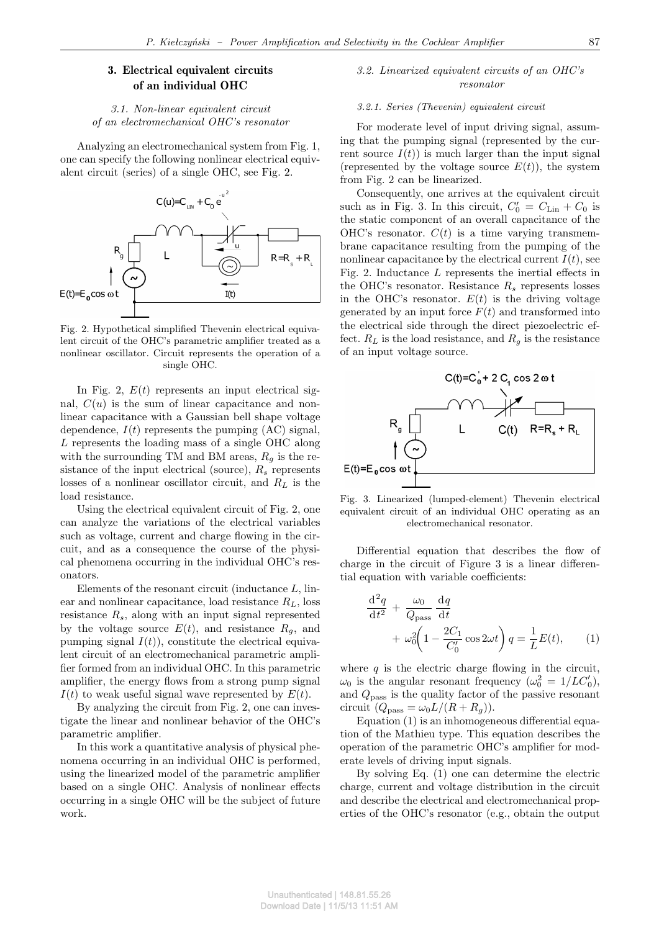# 3. Electrical equivalent circuits of an individual OHC

### *3.1. Non-linear equivalent circuit of an electromechanical OHC's resonator*

Analyzing an electromechanical system from Fig. 1, one can specify the following nonlinear electrical equivalent circuit (series) of a single OHC, see Fig. 2.



Fig. 2. Hypothetical simplified Thevenin electrical equivalent circuit of the OHC's parametric amplifier treated as a nonlinear oscillator. Circuit represents the operation of a single OHC.

In Fig. 2,  $E(t)$  represents an input electrical signal,  $C(u)$  is the sum of linear capacitance and nonlinear capacitance with a Gaussian bell shape voltage dependence,  $I(t)$  represents the pumping  $(AC)$  signal, *L* represents the loading mass of a single OHC along with the surrounding TM and BM areas,  $R_q$  is the resistance of the input electrical (source), *R<sup>s</sup>* represents losses of a nonlinear oscillator circuit, and *R<sup>L</sup>* is the load resistance.

Using the electrical equivalent circuit of Fig. 2, one can analyze the variations of the electrical variables such as voltage, current and charge flowing in the circuit, and as a consequence the course of the physical phenomena occurring in the individual OHC's resonators.

Elements of the resonant circuit (inductance *L*, linear and nonlinear capacitance, load resistance *RL*, loss resistance *Rs*, along with an input signal represented by the voltage source  $E(t)$ , and resistance  $R_g$ , and pumping signal  $I(t)$ , constitute the electrical equivalent circuit of an electromechanical parametric amplifier formed from an individual OHC. In this parametric amplifier, the energy flows from a strong pump signal  $I(t)$  to weak useful signal wave represented by  $E(t)$ .

By analyzing the circuit from Fig. 2, one can investigate the linear and nonlinear behavior of the OHC's parametric amplifier.

In this work a quantitative analysis of physical phenomena occurring in an individual OHC is performed, using the linearized model of the parametric amplifier based on a single OHC. Analysis of nonlinear effects occurring in a single OHC will be the subject of future work.

### *3.2. Linearized equivalent circuits of an OHC's resonator*

### *3.2.1. Series (Thevenin) equivalent circuit*

For moderate level of input driving signal, assuming that the pumping signal (represented by the current source  $I(t)$  is much larger than the input signal (represented by the voltage source  $E(t)$ ), the system from Fig. 2 can be linearized.

Consequently, one arrives at the equivalent circuit such as in Fig. 3. In this circuit,  $C'_0 = C_{\text{Lin}} + C_0$  is the static component of an overall capacitance of the OHC's resonator.  $C(t)$  is a time varying transmembrane capacitance resulting from the pumping of the nonlinear capacitance by the electrical current  $I(t)$ , see Fig. 2. Inductance *L* represents the inertial effects in the OHC's resonator. Resistance  $R_s$  represents losses in the OHC's resonator.  $E(t)$  is the driving voltage generated by an input force  $F(t)$  and transformed into the electrical side through the direct piezoelectric effect.  $R_L$  is the load resistance, and  $R_q$  is the resistance of an input voltage source.



Fig. 3. Linearized (lumped-element) Thevenin electrical equivalent circuit of an individual OHC operating as an electromechanical resonator.

Differential equation that describes the flow of charge in the circuit of Figure 3 is a linear differential equation with variable coefficients:

$$
\frac{\mathrm{d}^2 q}{\mathrm{d}t^2} + \frac{\omega_0}{Q_{\text{pass}}} \frac{\mathrm{d}q}{\mathrm{d}t} \n+ \omega_0^2 \left( 1 - \frac{2C_1}{C_0'} \cos 2\omega t \right) q = \frac{1}{L} E(t), \qquad (1)
$$

where  $q$  is the electric charge flowing in the circuit,  $\omega_0$  is the angular resonant frequency  $(\omega_0^2 = 1/LC'_0)$ , and *Q*pass is the quality factor of the passive resonant circuit  $(Q_{\text{pass}} = \omega_0 L/(R + R_g)).$ 

Equation (1) is an inhomogeneous differential equation of the Mathieu type. This equation describes the operation of the parametric OHC's amplifier for moderate levels of driving input signals.

By solving Eq. (1) one can determine the electric charge, current and voltage distribution in the circuit and describe the electrical and electromechanical properties of the OHC's resonator (e.g., obtain the output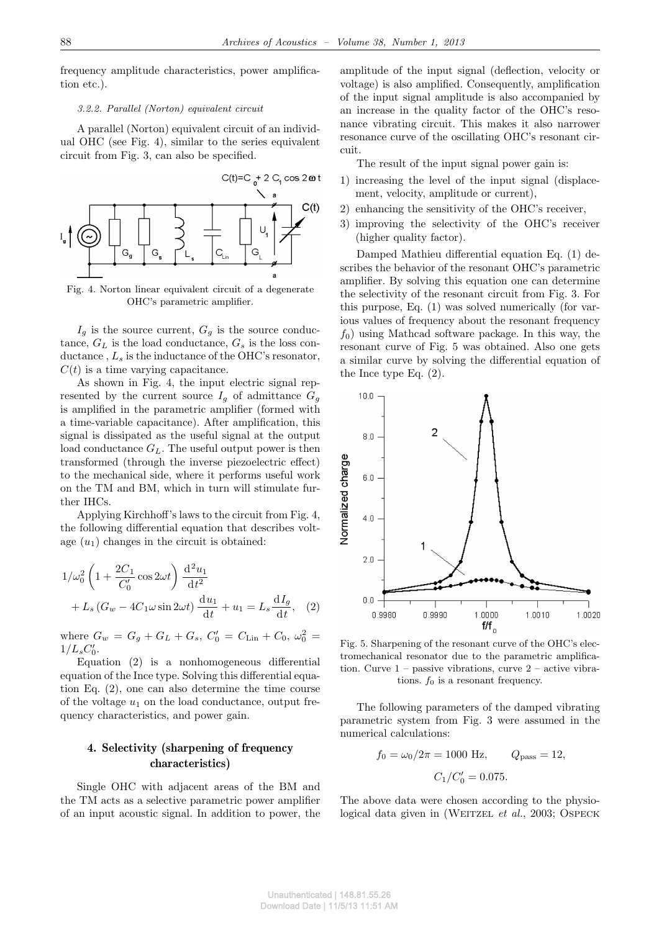frequency amplitude characteristics, power amplification etc.).

### *3.2.2. Parallel (Norton) equivalent circuit*

A parallel (Norton) equivalent circuit of an individual OHC (see Fig. 4), similar to the series equivalent circuit from Fig. 3, can also be specified.



Fig. 4. Norton linear equivalent circuit of a degenerate OHC's parametric amplifier.

 $I_g$  is the source current,  $G_g$  is the source conductance,  $G_L$  is the load conductance,  $G_s$  is the loss conductance , *L<sup>s</sup>* is the inductance of the OHC's resonator,  $C(t)$  is a time varying capacitance.

As shown in Fig. 4, the input electric signal represented by the current source  $I_g$  of admittance  $G_g$ is amplified in the parametric amplifier (formed with a time-variable capacitance). After amplification, this signal is dissipated as the useful signal at the output load conductance *GL*. The useful output power is then transformed (through the inverse piezoelectric effect) to the mechanical side, where it performs useful work on the TM and BM, which in turn will stimulate further IHCs.

Applying Kirchhoff's laws to the circuit from Fig. 4, the following differential equation that describes voltage  $(u_1)$  changes in the circuit is obtained:

$$
1/\omega_0^2 \left(1 + \frac{2C_1}{C'_0} \cos 2\omega t\right) \frac{\mathrm{d}^2 u_1}{\mathrm{d}t^2} + L_s \left(G_w - 4C_1 \omega \sin 2\omega t\right) \frac{\mathrm{d}u_1}{\mathrm{d}t} + u_1 = L_s \frac{\mathrm{d}I_g}{\mathrm{d}t}, \quad (2)
$$

where  $G_w = G_g + G_L + G_s$ ,  $C'_0 = C_{\text{Lin}} + C_0$ ,  $\omega_0^2 =$  $1/L_s C'_0$ .

Equation (2) is a nonhomogeneous differential equation of the Ince type. Solving this differential equation Eq. (2), one can also determine the time course of the voltage  $u_1$  on the load conductance, output frequency characteristics, and power gain.

# 4. Selectivity (sharpening of frequency characteristics)

Single OHC with adjacent areas of the BM and the TM acts as a selective parametric power amplifier of an input acoustic signal. In addition to power, the amplitude of the input signal (deflection, velocity or voltage) is also amplified. Consequently, amplification of the input signal amplitude is also accompanied by an increase in the quality factor of the OHC's resonance vibrating circuit. This makes it also narrower resonance curve of the oscillating OHC's resonant circuit.

The result of the input signal power gain is:

- 1) increasing the level of the input signal (displacement, velocity, amplitude or current),
- 2) enhancing the sensitivity of the OHC's receiver,
- 3) improving the selectivity of the OHC's receiver (higher quality factor).

Damped Mathieu differential equation Eq. (1) describes the behavior of the resonant OHC's parametric amplifier. By solving this equation one can determine the selectivity of the resonant circuit from Fig. 3. For this purpose, Eq. (1) was solved numerically (for various values of frequency about the resonant frequency  $f<sub>0</sub>$ ) using Mathcad software package. In this way, the resonant curve of Fig. 5 was obtained. Also one gets a similar curve by solving the differential equation of the Ince type Eq. (2).



Fig. 5. Sharpening of the resonant curve of the OHC's electromechanical resonator due to the parametric amplification. Curve  $1$  – passive vibrations, curve  $2$  – active vibrations.  $f_0$  is a resonant frequency.

The following parameters of the damped vibrating parametric system from Fig. 3 were assumed in the numerical calculations:

$$
f_0 = \omega_0/2\pi = 1000
$$
 Hz,  $Q_{\text{pass}} = 12$ ,  
 $C_1/C'_0 = 0.075$ .

The above data were chosen according to the physiological data given in (WEITZEL *et al.*, 2003; OSPECK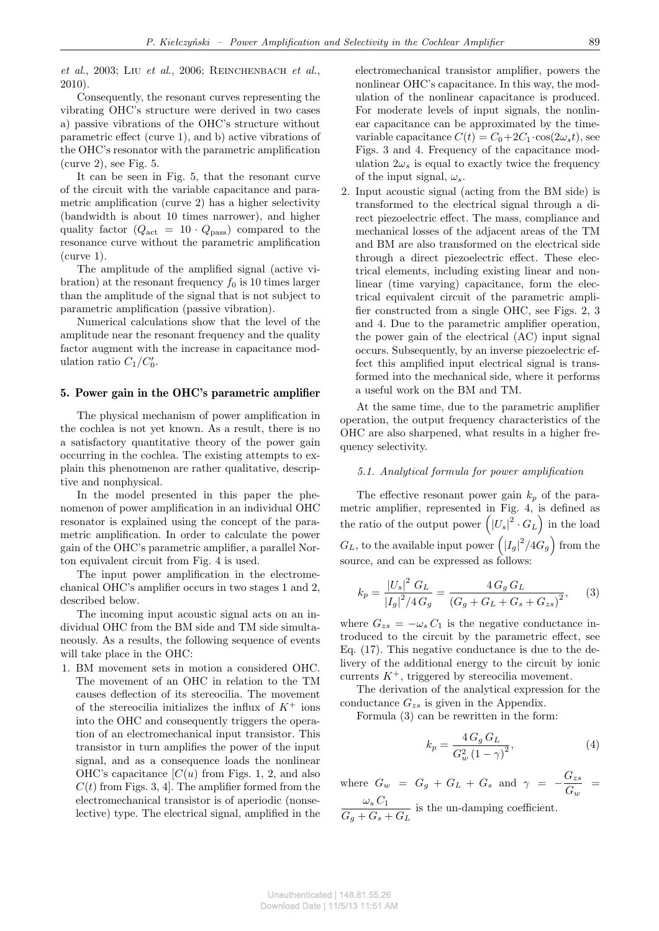*et al*., 2003; Liu *et al*., 2006; Reinchenbach *et al.*, 2010).

Consequently, the resonant curves representing the vibrating OHC's structure were derived in two cases a) passive vibrations of the OHC's structure without parametric effect (curve 1), and b) active vibrations of the OHC's resonator with the parametric amplification  $(curve 2)$ , see Fig. 5.

It can be seen in Fig. 5, that the resonant curve of the circuit with the variable capacitance and parametric amplification (curve 2) has a higher selectivity (bandwidth is about 10 times narrower), and higher quality factor  $(Q_{\text{act}} = 10 \cdot Q_{\text{pass}})$  compared to the resonance curve without the parametric amplification  $(curve 1)$ .

The amplitude of the amplified signal (active vibration) at the resonant frequency  $f_0$  is 10 times larger than the amplitude of the signal that is not subject to parametric amplification (passive vibration).

Numerical calculations show that the level of the amplitude near the resonant frequency and the quality factor augment with the increase in capacitance modulation ratio  $C_1/C'_0$ .

### 5. Power gain in the OHC's parametric amplifier

The physical mechanism of power amplification in the cochlea is not yet known. As a result, there is no a satisfactory quantitative theory of the power gain occurring in the cochlea. The existing attempts to explain this phenomenon are rather qualitative, descriptive and nonphysical.

In the model presented in this paper the phenomenon of power amplification in an individual OHC resonator is explained using the concept of the parametric amplification. In order to calculate the power gain of the OHC's parametric amplifier, a parallel Norton equivalent circuit from Fig. 4 is used.

The input power amplification in the electromechanical OHC's amplifier occurs in two stages 1 and 2, described below.

The incoming input acoustic signal acts on an individual OHC from the BM side and TM side simultaneously. As a results, the following sequence of events will take place in the OHC:

1. BM movement sets in motion a considered OHC. The movement of an OHC in relation to the TM causes deflection of its stereocilia. The movement of the stereocilia initializes the influx of *K*<sup>+</sup> ions into the OHC and consequently triggers the operation of an electromechanical input transistor. This transistor in turn amplifies the power of the input signal, and as a consequence loads the nonlinear OHC's capacitance  $[C(u)]$  from Figs. 1, 2, and also  $C(t)$  from Figs. 3, 4. The amplifier formed from the electromechanical transistor is of aperiodic (nonselective) type. The electrical signal, amplified in the electromechanical transistor amplifier, powers the nonlinear OHC's capacitance. In this way, the modulation of the nonlinear capacitance is produced. For moderate levels of input signals, the nonlinear capacitance can be approximated by the timevariable capacitance  $C(t) = C_0 + 2C_1 \cdot \cos(2\omega_s t)$ , see Figs. 3 and 4. Frequency of the capacitance modulation  $2\omega_s$  is equal to exactly twice the frequency of the input signal,  $\omega_s$ .

2. Input acoustic signal (acting from the BM side) is transformed to the electrical signal through a direct piezoelectric effect. The mass, compliance and mechanical losses of the adjacent areas of the TM and BM are also transformed on the electrical side through a direct piezoelectric effect. These electrical elements, including existing linear and nonlinear (time varying) capacitance, form the electrical equivalent circuit of the parametric amplifier constructed from a single OHC, see Figs. 2, 3 and 4. Due to the parametric amplifier operation, the power gain of the electrical (AC) input signal occurs. Subsequently, by an inverse piezoelectric effect this amplified input electrical signal is transformed into the mechanical side, where it performs a useful work on the BM and TM.

At the same time, due to the parametric amplifier operation, the output frequency characteristics of the OHC are also sharpened, what results in a higher frequency selectivity.

### *5.1. Analytical formula for power amplification*

The effective resonant power gain  $k_p$  of the parametric amplifier, represented in Fig. 4, is defined as the ratio of the output power  $(|U_s|^2 \cdot G_L)$  in the load  $G_L$ , to the available input power  $\left( |I_g|^2 / 4G_g \right)$  from the source, and can be expressed as follows:

$$
k_p = \frac{|U_s|^2 G_L}{|I_g|^2 / 4 G_g} = \frac{4 G_g G_L}{(G_g + G_L + G_s + G_{zs})^2},
$$
 (3)

where  $G_{zs} = -\omega_s C_1$  is the negative conductance introduced to the circuit by the parametric effect, see Eq. (17). This negative conductance is due to the delivery of the additional energy to the circuit by ionic currents  $K^+$ , triggered by stereocilia movement.

The derivation of the analytical expression for the conductance *Gzs* is given in the Appendix.

Formula (3) can be rewritten in the form:

$$
k_p = \frac{4\,G_g\,G_L}{G_w^2\left(1-\gamma\right)^2},\tag{4}
$$

where  $G_w = G_g + G_L + G_s$  and  $\gamma = -\frac{G_{zs}}{G}$  $\frac{G_{zs}}{G_w}$  =  $\omega_s C_1$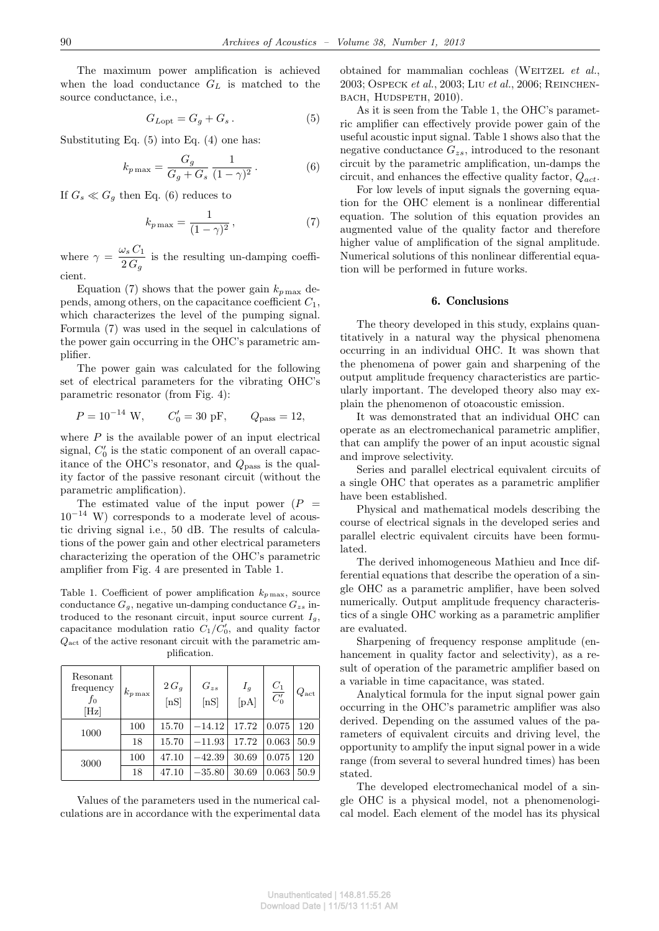The maximum power amplification is achieved when the load conductance *G<sup>L</sup>* is matched to the source conductance, i.e.,

$$
G_{Lopt} = G_g + G_s. \tag{5}
$$

Substituting Eq.  $(5)$  into Eq.  $(4)$  one has:

$$
k_{p\max} = \frac{G_g}{G_g + G_s} \frac{1}{(1 - \gamma)^2}.
$$
 (6)

If  $G_s \ll G_g$  then Eq. (6) reduces to

$$
k_{p\max} = \frac{1}{(1-\gamma)^2},\tag{7}
$$

where  $\gamma = \frac{\omega_s C_1}{2C}$  $\frac{2S}{2G_g}$  is the resulting un-damping coefficient.

Equation (7) shows that the power gain  $k_{p\,\text{max}}$  depends, among others, on the capacitance coefficient *C*1, which characterizes the level of the pumping signal. Formula (7) was used in the sequel in calculations of the power gain occurring in the OHC's parametric amplifier.

The power gain was calculated for the following set of electrical parameters for the vibrating OHC's parametric resonator (from Fig. 4):

$$
P = 10^{-14}
$$
 W,  $C'_0 = 30$  pF,  $Q_{\text{pass}} = 12$ ,

where  $P$  is the available power of an input electrical signal,  $C'_0$  is the static component of an overall capacitance of the OHC's resonator, and *Q*pass is the quality factor of the passive resonant circuit (without the parametric amplification).

The estimated value of the input power  $(P =$ 10*−*<sup>14</sup> W) corresponds to a moderate level of acoustic driving signal i.e., 50 dB. The results of calculations of the power gain and other electrical parameters characterizing the operation of the OHC's parametric amplifier from Fig. 4 are presented in Table 1.

Table 1. Coefficient of power amplification  $k_{p \max}$ , source conductance  $G_q$ , negative un-damping conductance  $G_{zs}$  introduced to the resonant circuit, input source current  $I_q$ , capacitance modulation ratio  $C_1/C_0'$ , and quality factor *Q*act of the active resonant circuit with the parametric amplification.

| Resonant<br>frequency<br>fo<br>[Hz] | $k_{p\max}$ | $2G_g$<br>[nS] | $G_{zs}$<br>[nS] | $I_g$<br>[pA] | $\frac{C_1}{C_0'}$ | $Q_{\rm act}$ |
|-------------------------------------|-------------|----------------|------------------|---------------|--------------------|---------------|
| 1000                                | 100         | 15.70          | $-14.12$         | 17.72         | 0.075              | 120           |
|                                     | 18          | 15.70          | $-11.93$         | 17.72         | 0.063              | 50.9          |
| 3000                                | 100         | 47.10          | $-42.39$         | 30.69         | 0.075              | 120           |
|                                     | 18          | 47.10          | $-35.80$         | 30.69         | 0.063              | 50.9          |

Values of the parameters used in the numerical calculations are in accordance with the experimental data obtained for mammalian cochleas (WEITZEL *et al.*, 2003; Ospeck *et al.*, 2003; Liu *et al.*, 2006; Reinchen-BACH, HUDSPETH, 2010).

As it is seen from the Table 1, the OHC's parametric amplifier can effectively provide power gain of the useful acoustic input signal. Table 1 shows also that the negative conductance *Gzs*, introduced to the resonant circuit by the parametric amplification, un-damps the circuit, and enhances the effective quality factor, *Qact*.

For low levels of input signals the governing equation for the OHC element is a nonlinear differential equation. The solution of this equation provides an augmented value of the quality factor and therefore higher value of amplification of the signal amplitude. Numerical solutions of this nonlinear differential equation will be performed in future works.

### 6. Conclusions

The theory developed in this study, explains quantitatively in a natural way the physical phenomena occurring in an individual OHC. It was shown that the phenomena of power gain and sharpening of the output amplitude frequency characteristics are particularly important. The developed theory also may explain the phenomenon of otoacoustic emission.

It was demonstrated that an individual OHC can operate as an electromechanical parametric amplifier, that can amplify the power of an input acoustic signal and improve selectivity.

Series and parallel electrical equivalent circuits of a single OHC that operates as a parametric amplifier have been established.

Physical and mathematical models describing the course of electrical signals in the developed series and parallel electric equivalent circuits have been formulated.

The derived inhomogeneous Mathieu and Ince differential equations that describe the operation of a single OHC as a parametric amplifier, have been solved numerically. Output amplitude frequency characteristics of a single OHC working as a parametric amplifier are evaluated.

Sharpening of frequency response amplitude (enhancement in quality factor and selectivity), as a result of operation of the parametric amplifier based on a variable in time capacitance, was stated.

Analytical formula for the input signal power gain occurring in the OHC's parametric amplifier was also derived. Depending on the assumed values of the parameters of equivalent circuits and driving level, the opportunity to amplify the input signal power in a wide range (from several to several hundred times) has been stated.

The developed electromechanical model of a single OHC is a physical model, not a phenomenological model. Each element of the model has its physical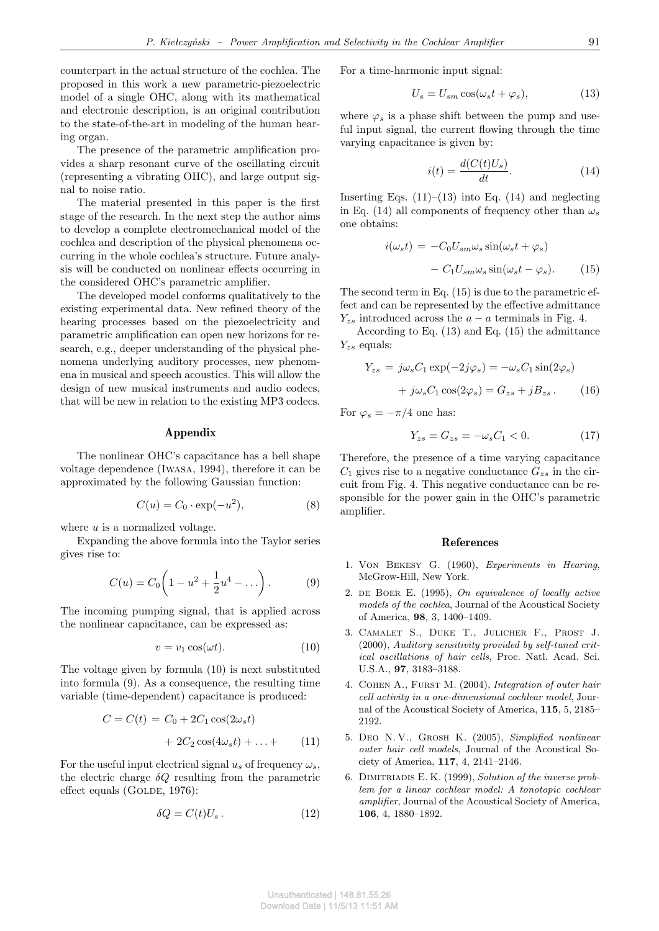counterpart in the actual structure of the cochlea. The proposed in this work a new parametric-piezoelectric model of a single OHC, along with its mathematical and electronic description, is an original contribution to the state-of-the-art in modeling of the human hearing organ.

The presence of the parametric amplification provides a sharp resonant curve of the oscillating circuit (representing a vibrating OHC), and large output signal to noise ratio.

The material presented in this paper is the first stage of the research. In the next step the author aims to develop a complete electromechanical model of the cochlea and description of the physical phenomena occurring in the whole cochlea's structure. Future analysis will be conducted on nonlinear effects occurring in the considered OHC's parametric amplifier.

The developed model conforms qualitatively to the existing experimental data. New refined theory of the hearing processes based on the piezoelectricity and parametric amplification can open new horizons for research, e.g., deeper understanding of the physical phenomena underlying auditory processes, new phenomena in musical and speech acoustics. This will allow the design of new musical instruments and audio codecs, that will be new in relation to the existing MP3 codecs.

### Appendix

The nonlinear OHC's capacitance has a bell shape voltage dependence (Iwasa, 1994), therefore it can be approximated by the following Gaussian function:

$$
C(u) = C_0 \cdot \exp(-u^2), \tag{8}
$$

where *u* is a normalized voltage.

Expanding the above formula into the Taylor series gives rise to:

$$
C(u) = C_0 \left( 1 - u^2 + \frac{1}{2} u^4 - \dots \right). \tag{9}
$$

The incoming pumping signal, that is applied across the nonlinear capacitance, can be expressed as:

$$
v = v_1 \cos(\omega t). \tag{10}
$$

The voltage given by formula (10) is next substituted into formula (9). As a consequence, the resulting time variable (time-dependent) capacitance is produced:

$$
C = C(t) = C_0 + 2C_1 \cos(2\omega_s t)
$$

$$
+ 2C_2 \cos(4\omega_s t) + \dots + \qquad (11)
$$

For the useful input electrical signal  $u_s$  of frequency  $\omega_s$ , the electric charge  $\delta Q$  resulting from the parametric effect equals (GOLDE,  $1976$ ):

$$
\delta Q = C(t)U_s. \tag{12}
$$

For a time-harmonic input signal:

$$
U_s = U_{sm} \cos(\omega_s t + \varphi_s), \tag{13}
$$

where  $\varphi_s$  is a phase shift between the pump and useful input signal, the current flowing through the time varying capacitance is given by:

$$
i(t) = \frac{d(C(t)U_s)}{dt}.
$$
\n(14)

Inserting Eqs.  $(11)–(13)$  into Eq.  $(14)$  and neglecting in Eq. (14) all components of frequency other than  $\omega_s$ one obtains:

$$
i(\omega_s t) = -C_0 U_{sm} \omega_s \sin(\omega_s t + \varphi_s)
$$

$$
- C_1 U_{sm} \omega_s \sin(\omega_s t - \varphi_s). \tag{15}
$$

The second term in Eq. (15) is due to the parametric effect and can be represented by the effective admittance  $Y_{zs}$  introduced across the  $a - a$  terminals in Fig. 4.

According to Eq. (13) and Eq. (15) the admittance *Yzs* equals:

$$
Y_{zs} = j\omega_s C_1 \exp(-2j\varphi_s) = -\omega_s C_1 \sin(2\varphi_s)
$$

$$
+ j\omega_s C_1 \cos(2\varphi_s) = G_{zs} + jB_{zs}.
$$
 (16)

For  $\varphi_s = -\pi/4$  one has:

$$
Y_{zs} = G_{zs} = -\omega_s C_1 < 0. \tag{17}
$$

Therefore, the presence of a time varying capacitance  $C_1$  gives rise to a negative conductance  $G_{zs}$  in the circuit from Fig. 4. This negative conductance can be responsible for the power gain in the OHC's parametric amplifier.

#### References

- 1. Von Bekesy G. (1960), *Experiments in Hearing*, McGrow-Hill, New York.
- 2. de Boer E. (1995), *On equivalence of locally active models of the cochlea*, Journal of the Acoustical Society of America, **98**, 3, 1400–1409.
- 3. Camalet S., Duke T., Julicher F., Prost J. (2000), *Auditory sensitivity provided by self-tuned critical oscillations of hair cells*, Proc. Natl. Acad. Sci. U.S.A., **97**, 3183–3188.
- 4. Cohen A., Furst M. (2004), *Integration of outer hair cell activity in a one-dimensional cochlear model*, Journal of the Acoustical Society of America, **115**, 5, 2185– 2192.
- 5. Deo N. V., Grosh K. (2005), *Simplified nonlinear outer hair cell models*, Journal of the Acoustical Society of America, **117**, 4, 2141–2146.
- 6. Dimitriadis E. K. (1999), *Solution of the inverse problem for a linear cochlear model: A tonotopic cochlear amplifier*, Journal of the Acoustical Society of America, **106**, 4, 1880–1892.